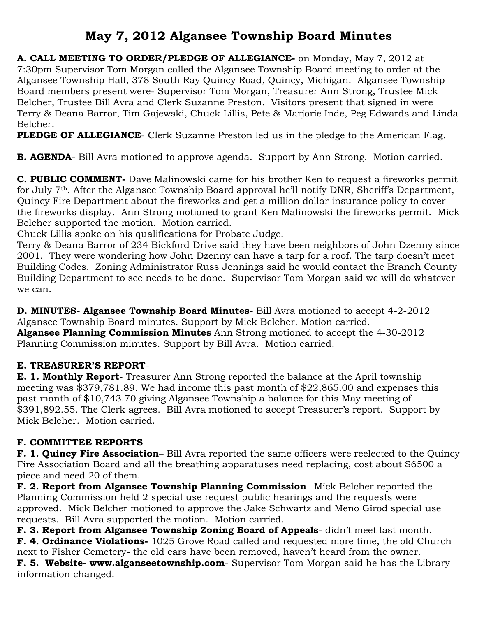# **May 7, 2012 Algansee Township Board Minutes**

**A. CALL MEETING TO ORDER/PLEDGE OF ALLEGIANCE-** on Monday, May 7, 2012 at 7:30pm Supervisor Tom Morgan called the Algansee Township Board meeting to order at the Algansee Township Hall, 378 South Ray Quincy Road, Quincy, Michigan. Algansee Township Board members present were- Supervisor Tom Morgan, Treasurer Ann Strong, Trustee Mick Belcher, Trustee Bill Avra and Clerk Suzanne Preston. Visitors present that signed in were Terry & Deana Barror, Tim Gajewski, Chuck Lillis, Pete & Marjorie Inde, Peg Edwards and Linda Belcher.

**PLEDGE OF ALLEGIANCE**- Clerk Suzanne Preston led us in the pledge to the American Flag.

**B. AGENDA**- Bill Avra motioned to approve agenda. Support by Ann Strong. Motion carried.

**C. PUBLIC COMMENT-** Dave Malinowski came for his brother Ken to request a fireworks permit for July 7th. After the Algansee Township Board approval he'll notify DNR, Sheriff's Department, Quincy Fire Department about the fireworks and get a million dollar insurance policy to cover the fireworks display. Ann Strong motioned to grant Ken Malinowski the fireworks permit. Mick Belcher supported the motion. Motion carried.

Chuck Lillis spoke on his qualifications for Probate Judge.

Terry & Deana Barror of 234 Bickford Drive said they have been neighbors of John Dzenny since 2001. They were wondering how John Dzenny can have a tarp for a roof. The tarp doesn't meet Building Codes. Zoning Administrator Russ Jennings said he would contact the Branch County Building Department to see needs to be done. Supervisor Tom Morgan said we will do whatever we can.

**D. MINUTES**- **Algansee Township Board Minutes**- Bill Avra motioned to accept 4-2-2012 Algansee Township Board minutes. Support by Mick Belcher. Motion carried. **Algansee Planning Commission Minutes** Ann Strong motioned to accept the 4-30-2012 Planning Commission minutes. Support by Bill Avra. Motion carried.

## **E. TREASURER'S REPORT**-

**E. 1. Monthly Report**- Treasurer Ann Strong reported the balance at the April township meeting was \$379,781.89. We had income this past month of \$22,865.00 and expenses this past month of \$10,743.70 giving Algansee Township a balance for this May meeting of \$391,892.55. The Clerk agrees. Bill Avra motioned to accept Treasurer's report. Support by Mick Belcher. Motion carried.

#### **F. COMMITTEE REPORTS**

**F. 1. Quincy Fire Association**– Bill Avra reported the same officers were reelected to the Quincy Fire Association Board and all the breathing apparatuses need replacing, cost about \$6500 a piece and need 20 of them.

**F. 2. Report from Algansee Township Planning Commission**– Mick Belcher reported the Planning Commission held 2 special use request public hearings and the requests were approved. Mick Belcher motioned to approve the Jake Schwartz and Meno Girod special use requests. Bill Avra supported the motion. Motion carried.

**F. 3. Report from Algansee Township Zoning Board of Appeals**- didn't meet last month. **F. 4. Ordinance Violations-** 1025 Grove Road called and requested more time, the old Church next to Fisher Cemetery- the old cars have been removed, haven't heard from the owner. **F. 5. Website- www.alganseetownship.com**- Supervisor Tom Morgan said he has the Library information changed.